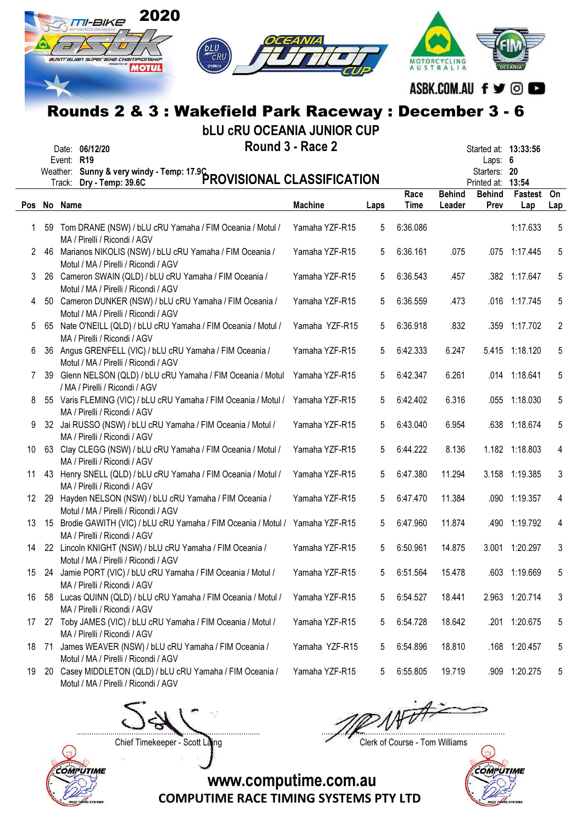|    |           | 2020<br><i>M-BIKE</i>                                                                                                                        |                  |      |              |                         |                                                |                      |                |
|----|-----------|----------------------------------------------------------------------------------------------------------------------------------------------|------------------|------|--------------|-------------------------|------------------------------------------------|----------------------|----------------|
|    |           | CRU<br>australian superaixe championship<br>⊜улмана<br><b>MOTUL</b>                                                                          |                  |      |              | AUSTRALIA               |                                                |                      |                |
|    |           |                                                                                                                                              |                  |      |              | ASBK.COM.AU f y ©       |                                                |                      |                |
|    |           | Rounds 2 & 3 : Wakefield Park Raceway : December 3 - 6                                                                                       |                  |      |              |                         |                                                |                      |                |
|    |           | <b>bLU CRU OCEANIA JUNIOR CUP</b><br>Date: 06/12/20<br>Event: R19<br>Weather: Sunny & very windy - Temp: 17.9C<br>PROVISIONAL CLASSIFICATION | Round 3 - Race 2 |      |              |                         | Laps: $6$<br>Starters: 20<br>Printed at: 13:54 | Started at: 13:33:56 |                |
|    |           | Pos No Name                                                                                                                                  | <b>Machine</b>   | Laps | Race<br>Time | <b>Behind</b><br>Leader | <b>Behind</b><br>Prev                          | Fastest<br>Lap       | On<br>Lap      |
| 1. |           | 59 Tom DRANE (NSW) / bLU cRU Yamaha / FIM Oceania / Motul /<br>MA / Pirelli / Ricondi / AGV                                                  | Yamaha YZF-R15   | 5    | 6:36.086     |                         |                                                | 1:17.633             | 5              |
| 2  |           | 46 Marianos NIKOLIS (NSW) / bLU cRU Yamaha / FIM Oceania /<br>Motul / MA / Pirelli / Ricondi / AGV                                           | Yamaha YZF-R15   | 5    | 6:36.161     | .075                    |                                                | .075 1:17.445        | 5              |
| 3. |           | 26 Cameron SWAIN (QLD) / bLU cRU Yamaha / FIM Oceania /<br>Motul / MA / Pirelli / Ricondi / AGV                                              | Yamaha YZF-R15   | 5    | 6:36.543     | .457                    |                                                | .382 1:17.647        | 5              |
| 4  |           | 50 Cameron DUNKER (NSW) / bLU cRU Yamaha / FIM Oceania /<br>Motul / MA / Pirelli / Ricondi / AGV                                             | Yamaha YZF-R15   | 5    | 6:36.559     | .473                    |                                                | .016 1:17.745        | 5              |
| 5. |           | 65 Nate O'NEILL (QLD) / bLU cRU Yamaha / FIM Oceania / Motul /<br>MA / Pirelli / Ricondi / AGV                                               | Yamaha YZF-R15   | 5    | 6:36.918     | .832                    |                                                | .359 1:17.702        | 2              |
| 6  |           | 36 Angus GRENFELL (VIC) / bLU cRU Yamaha / FIM Oceania /<br>Motul / MA / Pirelli / Ricondi / AGV                                             | Yamaha YZF-R15   | 5    | 6:42.333     | 6.247                   |                                                | 5.415 1:18.120       | 5              |
| 7  |           | 39 Glenn NELSON (QLD) / bLU cRU Yamaha / FIM Oceania / Motul<br>/ MA / Pirelli / Ricondi / AGV                                               | Yamaha YZF-R15   | 5    | 6:42.347     | 6.261                   |                                                | .014 1:18.641        | 5              |
| 8  |           | 55 Varis FLEMING (VIC) / bLU cRU Yamaha / FIM Oceania / Motul / Yamaha YZF-R15<br>MA / Pirelli / Ricondi / AGV                               |                  | 5    | 6:42.402     | 6.316                   |                                                | .055 1:18.030        | 5              |
| 9  |           | 32 Jai RUSSO (NSW) / bLU cRU Yamaha / FIM Oceania / Motul /<br>MA / Pirelli / Ricondi / AGV                                                  | Yamaha YZF-R15   | 5    | 6:43.040     | 6.954                   |                                                | .638 1:18.674        | 5              |
| 10 |           | 63 Clay CLEGG (NSW) / bLU cRU Yamaha / FIM Oceania / Motul /<br>MA / Pirelli / Ricondi / AGV                                                 | Yamaha YZF-R15   | 5    | 6:44.222     | 8.136                   |                                                | 1.182 1:18.803       | $\overline{4}$ |
| 11 |           | 43 Henry SNELL (QLD) / bLU cRU Yamaha / FIM Oceania / Motul /<br>MA / Pirelli / Ricondi / AGV                                                | Yamaha YZF-R15   | 5    | 6:47.380     | 11.294                  |                                                | 3.158 1:19.385       | 3              |
| 12 |           | 29 Hayden NELSON (NSW) / bLU cRU Yamaha / FIM Oceania /<br>Motul / MA / Pirelli / Ricondi / AGV                                              | Yamaha YZF-R15   | 5    | 6:47.470     | 11.384                  |                                                | .090 1:19.357        | 4              |
| 13 |           | 15 Brodie GAWITH (VIC) / bLU cRU Yamaha / FIM Oceania / Motul /<br>MA / Pirelli / Ricondi / AGV                                              | Yamaha YZF-R15   | 5    | 6:47.960     | 11.874                  |                                                | .490 1:19.792        | 4              |
| 14 |           | 22 Lincoln KNIGHT (NSW) / bLU cRU Yamaha / FIM Oceania /<br>Motul / MA / Pirelli / Ricondi / AGV                                             | Yamaha YZF-R15   | 5    | 6:50.961     | 14.875                  |                                                | 3.001 1:20.297       | 3              |
| 15 |           | 24 Jamie PORT (VIC) / bLU cRU Yamaha / FIM Oceania / Motul /<br>MA / Pirelli / Ricondi / AGV                                                 | Yamaha YZF-R15   | 5    | 6:51.564     | 15.478                  |                                                | .603 1:19.669        | 5              |
| 16 |           | 58 Lucas QUINN (QLD) / bLU cRU Yamaha / FIM Oceania / Motul /<br>MA / Pirelli / Ricondi / AGV                                                | Yamaha YZF-R15   | 5    | 6:54.527     | 18.441                  |                                                | 2.963 1:20.714       | 3              |
| 17 |           | 27 Toby JAMES (VIC) / bLU cRU Yamaha / FIM Oceania / Motul /<br>MA / Pirelli / Ricondi / AGV                                                 | Yamaha YZF-R15   | 5    | 6:54.728     | 18.642                  |                                                | .201 1:20.675        | 5              |
| 18 | -71       | James WEAVER (NSW) / bLU cRU Yamaha / FIM Oceania /<br>Motul / MA / Pirelli / Ricondi / AGV                                                  | Yamaha YZF-R15   | 5    | 6:54.896     | 18.810                  |                                                | .168 1:20.457        | 5              |
| 19 | <b>20</b> | Casey MIDDLETON (QLD) / bLU cRU Yamaha / FIM Oceania /<br>Motul / MA / Pirelli / Ricondi / AGV                                               | Yamaha YZF-R15   | 5    | 6:55.805     | 19.719                  |                                                | .909 1:20.275        | 5              |
|    |           |                                                                                                                                              |                  |      |              |                         |                                                |                      |                |



....................................................................................... .......................................................................................

Chief Timekeeper - Scott Laing Chief Timekeeper - Scott Laing

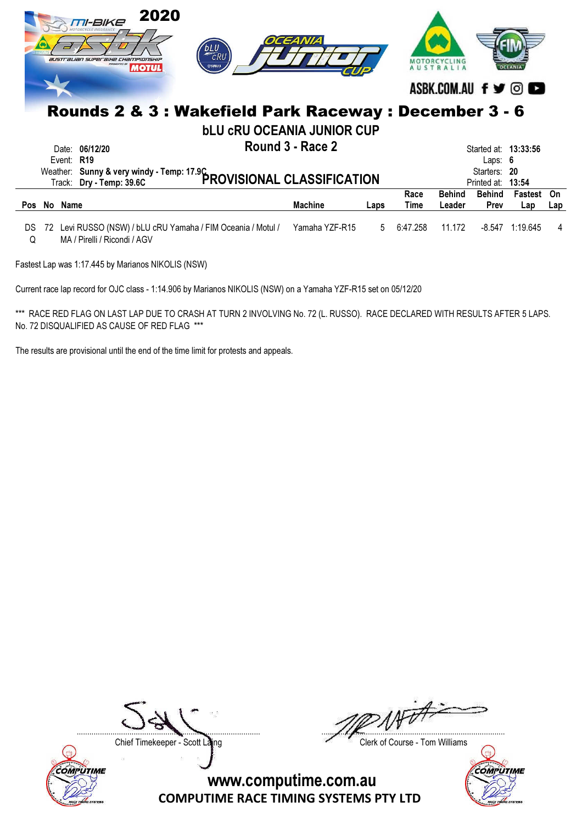|            |    | 2020<br>TI-BIKE<br><b>australian superaine Championship</b><br><b>MOTUL</b> | PLU<br>CRU<br>⊜удмана             | <b>OCEANIA</b>   |      |              | ASBK.COM.AU f y ©       |                              |                |                |
|------------|----|-----------------------------------------------------------------------------|-----------------------------------|------------------|------|--------------|-------------------------|------------------------------|----------------|----------------|
|            |    | Rounds 2 & 3 : Wakefield Park Raceway : December 3 - 6                      |                                   |                  |      |              |                         |                              |                |                |
|            |    |                                                                             | <b>bLU CRU OCEANIA JUNIOR CUP</b> |                  |      |              |                         |                              |                |                |
|            |    | 06/12/20<br>Date:                                                           |                                   | Round 3 - Race 2 |      |              |                         | Started at: 13:33:56         |                |                |
|            |    | Event: R19                                                                  |                                   |                  |      |              |                         | Laps:                        | -6             |                |
|            |    | Weather: Sunny & very windy - Temp: 17.9C<br>PROVISIONAL CLASSIFICATION     |                                   |                  |      |              |                         | Starters:<br>Printed at:     | - 20<br>13:54  |                |
| <b>Pos</b> |    | No Name                                                                     |                                   | <b>Machine</b>   | Laps | Race<br>Time | <b>Behind</b><br>Leader | <b>Behind</b><br><b>Prev</b> | Fastest<br>Lap | On<br>Lap      |
|            |    |                                                                             |                                   |                  |      |              |                         |                              |                |                |
| DS         | 72 | Levi RUSSO (NSW) / bLU cRU Yamaha / FIM Oceania / Motul /                   |                                   | Yamaha YZF-R15   | 5    | 6:47.258     | 11.172                  | -8.547                       | 1:19.645       | $\overline{4}$ |
| Q          |    | MA / Pirelli / Ricondi / AGV                                                |                                   |                  |      |              |                         |                              |                |                |

Fastest Lap was 1:17.445 by Marianos NIKOLIS (NSW)

Current race lap record for OJC class - 1:14.906 by Marianos NIKOLIS (NSW) on a Yamaha YZF-R15 set on 05/12/20

\*\*\* RACE RED FLAG ON LAST LAP DUE TO CRASH AT TURN 2 INVOLVING No. 72 (L. RUSSO). RACE DECLARED WITH RESULTS AFTER 5 LAPS. No. 72 DISQUALIFIED AS CAUSE OF RED FLAG \*\*\*

The results are provisional until the end of the time limit for protests and appeals.



....................................................................................... .......................................................................................

Chief Timekeeper - Scott Laing Chief Timekeeper - Scott Laing

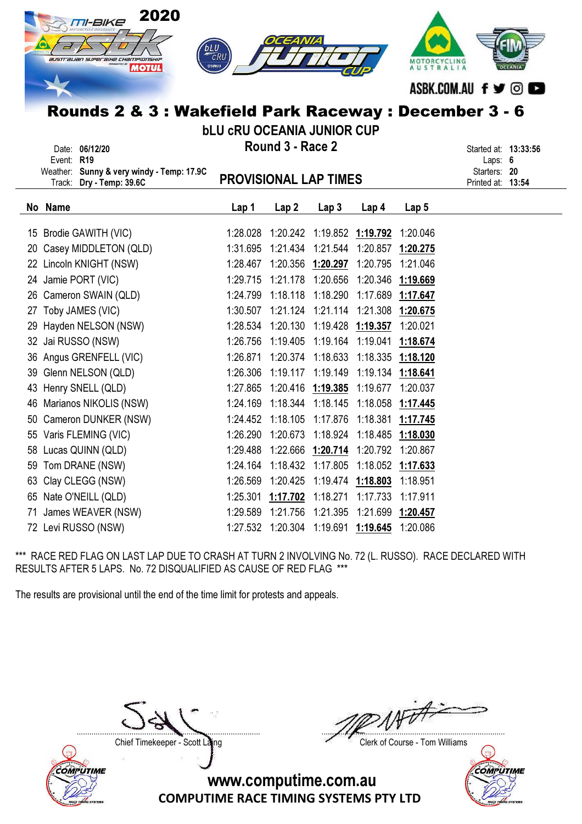| 2020<br>TI-BIKE<br>australian superaine championship<br><b>MOTUL</b><br>Rounds 2 & 3 : Wakefield Park Raceway : December 3 - 6 | MOTORCYCLING<br><b>AUSTRALIA</b>  | ASBK.COM.AU f y © O                              |                                     |          |                   |                                                                        |  |
|--------------------------------------------------------------------------------------------------------------------------------|-----------------------------------|--------------------------------------------------|-------------------------------------|----------|-------------------|------------------------------------------------------------------------|--|
|                                                                                                                                | <b>bLU CRU OCEANIA JUNIOR CUP</b> |                                                  |                                     |          |                   |                                                                        |  |
| Date: 06/12/20<br>Event: R19<br>Weather: Sunny & very windy - Temp: 17.9C<br>Track: Dry - Temp: 39.6C                          | <b>PROVISIONAL LAP TIMES</b>      | Round 3 - Race 2                                 |                                     |          |                   | Started at: 13:33:56<br>Laps: $6$<br>Starters: 20<br>Printed at: 13:54 |  |
| No Name                                                                                                                        | Lap 1                             | Lap2                                             | Lap <sub>3</sub>                    | Lap 4    | Lap <sub>5</sub>  |                                                                        |  |
| Brodie GAWITH (VIC)<br>15                                                                                                      | 1:28.028                          |                                                  |                                     |          | 1:20.046          |                                                                        |  |
| Casey MIDDLETON (QLD)<br>20                                                                                                    | 1:31.695                          | 1:21.434                                         | 1:21.544                            |          | 1:20.857 1:20.275 |                                                                        |  |
| Lincoln KNIGHT (NSW)<br>22                                                                                                     | 1:28.467                          |                                                  | 1:20.356 1:20.297                   | 1:20.795 | 1:21.046          |                                                                        |  |
| 24 Jamie PORT (VIC)                                                                                                            | 1:29.715                          |                                                  | 1:21.178 1:20.656 1:20.346 1:19.669 |          |                   |                                                                        |  |
| Cameron SWAIN (QLD)<br>26                                                                                                      | 1:24.799                          | 1:18.118 1:18.290                                |                                     |          | 1:17.689 1:17.647 |                                                                        |  |
| Toby JAMES (VIC)<br>27                                                                                                         | 1:30.507                          | 1:21.124 1:21.114                                |                                     |          | 1:21.308 1:20.675 |                                                                        |  |
| Hayden NELSON (NSW)<br>29                                                                                                      | 1:28.534                          |                                                  | 1:20.130  1:19.428  1:19.357        |          | 1:20.021          |                                                                        |  |
| Jai RUSSO (NSW)<br>32                                                                                                          | 1:26.756                          | 1:19.405                                         | 1:19.164                            | 1:19.041 | 1:18.674          |                                                                        |  |
| Angus GRENFELL (VIC)<br>36                                                                                                     | 1:26.871                          | 1:20.374                                         | 1:18.633                            | 1:18.335 | 1:18.120          |                                                                        |  |
| Glenn NELSON (QLD)<br>39                                                                                                       | 1:26.306                          | 1:19.117                                         | 1:19.149                            |          | 1:19.134 1:18.641 |                                                                        |  |
| Henry SNELL (QLD)<br>43                                                                                                        | 1:27.865                          | 1:20.416 1:19.385                                |                                     | 1:19.677 | 1:20.037          |                                                                        |  |
| Marianos NIKOLIS (NSW)<br>46                                                                                                   | 1:24.169                          | 1:18.344                                         | 1:18.145                            | 1:18.058 | 1:17.445          |                                                                        |  |
| Cameron DUNKER (NSW)<br>50                                                                                                     | 1:24.452                          | 1:18.105                                         | 1:17.876                            |          | 1:18.381 1:17.745 |                                                                        |  |
| 55 Varis FLEMING (VIC)                                                                                                         |                                   | 1:26.290 1:20.673 1:18.924 1:18.485 1:18.030     |                                     |          |                   |                                                                        |  |
| 58 Lucas QUINN (QLD)                                                                                                           |                                   | 1:29.488  1:22.666  1:20.714  1:20.792  1:20.867 |                                     |          |                   |                                                                        |  |
| Tom DRANE (NSW)<br>59                                                                                                          |                                   | 1:24.164 1:18.432 1:17.805 1:18.052 1:17.633     |                                     |          |                   |                                                                        |  |
| Clay CLEGG (NSW)<br>63                                                                                                         |                                   | 1:26.569  1:20.425  1:19.474  1:18.803           |                                     |          | 1:18.951          |                                                                        |  |
| Nate O'NEILL (QLD)<br>65                                                                                                       | 1:25.301                          |                                                  | 1:17.702 1:18.271 1:17.733 1:17.911 |          |                   |                                                                        |  |
| James WEAVER (NSW)<br>71                                                                                                       |                                   | 1:29.589  1:21.756  1:21.395  1:21.699  1:20.457 |                                     |          |                   |                                                                        |  |

72 Levi RUSSO (NSW) 1:27.532 1:20.304 1:19.691 1:19.645 1:20.086

\*\*\* RACE RED FLAG ON LAST LAP DUE TO CRASH AT TURN 2 INVOLVING No. 72 (L. RUSSO). RACE DECLARED WITH RESULTS AFTER 5 LAPS. No. 72 DISQUALIFIED AS CAUSE OF RED FLAG \*\*\*

The results are provisional until the end of the time limit for protests and appeals.



....................................................................................... .......................................................................................

Chief Timekeeper - Scott Laing Chief Timekeeper - Scott Laing

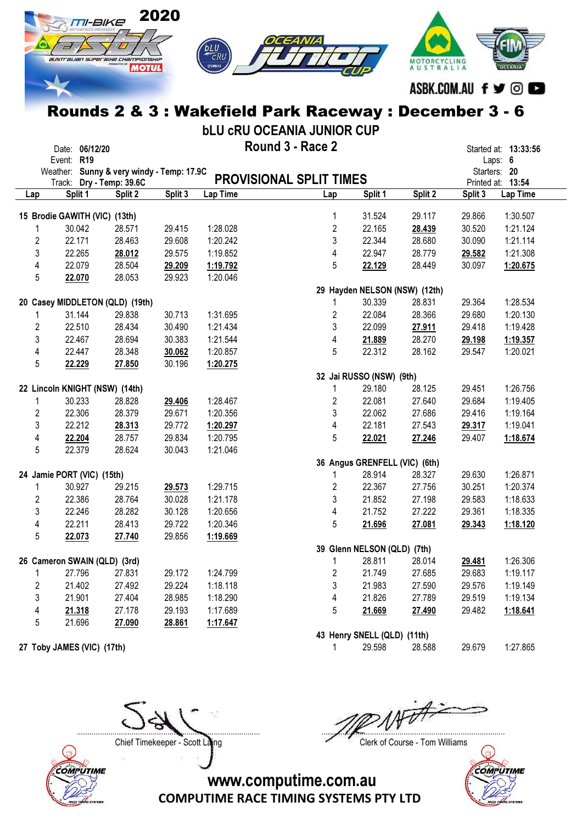

bLU cRU OCEANIA JUNIOR CUP

|                | Date: 06/12/20                            |                   |         |          | Round 3 - Race 2               |                               |                               |         | Started at: 13:33:56 |
|----------------|-------------------------------------------|-------------------|---------|----------|--------------------------------|-------------------------------|-------------------------------|---------|----------------------|
|                | Event: R19                                |                   |         |          |                                |                               |                               |         | Laps: 6              |
|                | Weather: Sunny & very windy - Temp: 17.9C |                   |         |          |                                |                               |                               |         | Starters: 20         |
|                | Track:                                    | Dry - Temp: 39.6C |         |          | <b>PROVISIONAL SPLIT TIMES</b> |                               |                               |         | Printed at: 13:54    |
| Lap            | Split 1                                   | Split 2           | Split 3 | Lap Time | Lap                            | Split 1                       | Split 2                       | Split 3 | Lap Time             |
|                | 15 Brodie GAWITH (VIC) (13th)             |                   |         |          | 1                              | 31.524                        | 29.117                        | 29.866  | 1:30.507             |
| 1              | 30.042                                    | 28.571            | 29.415  | 1:28.028 | $\boldsymbol{2}$               | 22.165                        | 28.439                        | 30.520  | 1:21.124             |
| $\overline{2}$ | 22.171                                    | 28.463            | 29.608  | 1:20.242 | 3                              | 22.344                        | 28.680                        | 30.090  | 1:21.114             |
| $\mathbf{3}$   | 22.265                                    | 28.012            | 29.575  | 1:19.852 | $\overline{\mathbf{4}}$        | 22.947                        | 28.779                        | 29.582  | 1:21.308             |
| 4              | 22.079                                    | 28.504            | 29.209  | 1:19.792 | 5                              | 22.129                        | 28.449                        | 30.097  | 1:20.675             |
| 5              | 22.070                                    | 28.053            | 29.923  | 1:20.046 |                                |                               |                               |         |                      |
|                |                                           |                   |         |          |                                |                               | 29 Hayden NELSON (NSW) (12th) |         |                      |
|                | 20 Casey MIDDLETON (QLD) (19th)           |                   |         |          | 1                              | 30.339                        | 28.831                        | 29.364  | 1:28.534             |
| 1              | 31.144                                    | 29.838            | 30.713  | 1:31.695 | $\overline{c}$                 | 22.084                        | 28.366                        | 29.680  | 1:20.130             |
| $\overline{2}$ | 22.510                                    | 28.434            | 30.490  | 1:21.434 | 3                              | 22.099                        | 27.911                        | 29.418  | 1:19.428             |
| 3              | 22.467                                    | 28.694            | 30.383  | 1:21.544 | $\overline{\mathbf{4}}$        | 21.889                        | 28.270                        | 29.198  | 1:19.357             |
| 4              | 22.447                                    | 28.348            | 30.062  | 1:20.857 | 5                              | 22.312                        | 28.162                        | 29.547  | 1:20.021             |
| 5              | 22.229                                    | 27.850            | 30.196  | 1:20.275 |                                |                               |                               |         |                      |
|                |                                           |                   |         |          |                                | 32 Jai RUSSO (NSW) (9th)      |                               |         |                      |
|                | 22 Lincoln KNIGHT (NSW) (14th)            |                   |         |          | 1                              | 29.180                        | 28.125                        | 29.451  | 1:26.756             |
| 1              | 30.233                                    | 28.828            | 29.406  | 1:28.467 | $\overline{c}$                 | 22.081                        | 27.640                        | 29.684  | 1:19.405             |
| $\overline{2}$ | 22.306                                    | 28.379            | 29.671  | 1:20.356 | 3                              | 22.062                        | 27.686                        | 29.416  | 1:19.164             |
| 3              | 22.212                                    | 28.313            | 29.772  | 1:20.297 | 4                              | 22.181                        | 27.543                        | 29.317  | 1:19.041             |
| 4              | 22.204                                    | 28.757            | 29.834  | 1:20.795 | 5                              | 22.021                        | 27.246                        | 29.407  | 1:18.674             |
| 5              | 22.379                                    | 28.624            | 30.043  | 1:21.046 |                                |                               |                               |         |                      |
|                |                                           |                   |         |          |                                | 36 Angus GRENFELL (VIC) (6th) |                               |         |                      |
|                | 24 Jamie PORT (VIC) (15th)                |                   |         |          | 1                              | 28.914                        | 28.327                        | 29.630  | 1:26.871             |
| 1              | 30.927                                    | 29.215            | 29.573  | 1:29.715 | $\overline{2}$                 | 22.367                        | 27.756                        | 30.251  | 1:20.374             |
| $\overline{2}$ | 22.386                                    | 28.764            | 30.028  | 1:21.178 | 3                              | 21.852                        | 27.198                        | 29.583  | 1:18.633             |
| 3              | 22.246                                    | 28.282            | 30.128  | 1:20.656 | 4                              | 21.752                        | 27.222                        | 29.361  | 1:18.335             |
| 4              | 22.211                                    | 28.413            | 29.722  | 1:20.346 | 5                              | 21.696                        | 27.081                        | 29.343  | 1:18.120             |
| $\overline{5}$ | 22.073                                    | 27.740            | 29.856  | 1:19.669 |                                |                               |                               |         |                      |
|                |                                           |                   |         |          |                                | 39 Glenn NELSON (QLD) (7th)   |                               |         |                      |
|                | 26 Cameron SWAIN (QLD) (3rd)              |                   |         |          | 1                              | 28.811                        | 28.014                        | 29.481  | 1:26.306             |
| 1              | 27.796                                    | 27.831            | 29.172  | 1:24.799 | $\overline{2}$                 | 21.749                        | 27.685                        | 29.683  | 1:19.117             |
| $\overline{2}$ | 21.402                                    | 27.492            | 29.224  | 1:18.118 | 3                              | 21.983                        | 27.590                        | 29.576  | 1:19.149             |
| 3              | 21.901                                    | 27.404            | 28.985  | 1:18.290 | $\overline{\mathbf{4}}$        | 21.826                        | 27.789                        | 29.519  | 1:19.134             |
| 4              | 21.318                                    | 27.178            | 29.193  | 1:17.689 | 5                              | 21.669                        | 27.490                        | 29.482  | 1:18.641             |
| 5              | 21.696                                    | 27.090            | 28.861  | 1:17.647 |                                |                               |                               |         |                      |
|                |                                           |                   |         |          |                                | 43 Henry SNELL (QLD) (11th)   |                               |         |                      |

27 Toby JAMES (VIC) (17th) 29.598 29.598 28.588 29.679 1:27.865



Chief Timekeeper - Scott Laing Chief Timekeeper - Scott Laing

....................................................................................... .......................................................................................

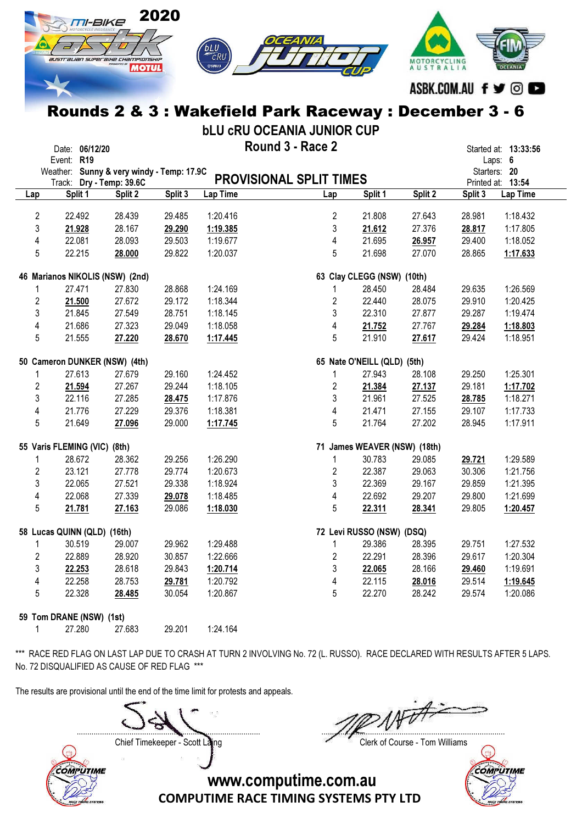

bLU cRU OCEANIA JUNIOR CUP

|                         | Date: 06/12/20                            |         |         |            | Round 3 - Race 2               |                              |         |         | Started at: 13:33:56 |
|-------------------------|-------------------------------------------|---------|---------|------------|--------------------------------|------------------------------|---------|---------|----------------------|
|                         | Event: R19                                |         |         |            |                                |                              |         |         | Laps: 6              |
|                         | Weather: Sunny & very windy - Temp: 17.9C |         |         |            |                                |                              |         |         | Starters: 20         |
|                         | Track: Dry - Temp: 39.6C                  |         |         |            | <b>PROVISIONAL SPLIT TIMES</b> |                              |         |         | Printed at: 13:54    |
| Lap                     | Split 1                                   | Split 2 | Split 3 | Lap Time   | Lap                            | Split 1                      | Split 2 | Split 3 | Lap Time             |
|                         |                                           |         |         |            |                                |                              |         |         |                      |
| $\overline{2}$          | 22.492                                    | 28.439  | 29.485  | 1:20.416   | $\overline{2}$                 | 21.808                       | 27.643  | 28.981  | 1:18.432             |
| 3                       | 21.928                                    | 28.167  | 29.290  | 1:19.385   | 3                              | 21.612                       | 27.376  | 28.817  | 1:17.805             |
| 4                       | 22.081                                    | 28.093  | 29.503  | 1:19.677   | 4                              | 21.695                       | 26.957  | 29.400  | 1:18.052             |
| 5                       | 22.215                                    | 28.000  | 29.822  | 1:20.037   | 5                              | 21.698                       | 27.070  | 28.865  | 1:17.633             |
|                         | 46 Marianos NIKOLIS (NSW) (2nd)           |         |         |            |                                | 63 Clay CLEGG (NSW) (10th)   |         |         |                      |
| $\mathbf{1}$            | 27.471                                    | 27.830  | 28.868  | 1:24.169   | 1                              | 28.450                       | 28.484  | 29.635  | 1:26.569             |
| $\overline{2}$          | 21.500                                    | 27.672  | 29.172  | 1:18.344   | $\overline{2}$                 | 22.440                       | 28.075  | 29.910  | 1:20.425             |
| 3                       | 21.845                                    | 27.549  | 28.751  | 1:18.145   | 3                              | 22.310                       | 27.877  | 29.287  | 1:19.474             |
| 4                       | 21.686                                    | 27.323  | 29.049  | 1:18.058   | 4                              | 21.752                       | 27.767  | 29.284  | 1:18.803             |
| 5                       | 21.555                                    | 27.220  | 28.670  | 1:17.445   | 5                              | 21.910                       | 27.617  | 29.424  | 1:18.951             |
|                         |                                           |         |         |            |                                |                              |         |         |                      |
|                         | 50 Cameron DUNKER (NSW) (4th)             |         |         |            |                                | 65 Nate O'NEILL (QLD) (5th)  |         |         |                      |
| 1                       | 27.613                                    | 27.679  | 29.160  | 1:24.452   | 1                              | 27.943                       | 28.108  | 29.250  | 1:25.301             |
| $\overline{2}$          | 21.594                                    | 27.267  | 29.244  | 1:18.105   | $\overline{2}$                 | 21.384                       | 27.137  | 29.181  | 1:17.702             |
| 3                       | 22.116                                    | 27.285  | 28.475  | 1:17.876   | 3                              | 21.961                       | 27.525  | 28.785  | 1:18.271             |
| $\overline{4}$          | 21.776                                    | 27.229  | 29.376  | 1:18.381   | 4                              | 21.471                       | 27.155  | 29.107  | 1:17.733             |
| 5                       | 21.649                                    | 27.096  | 29.000  | 1:17.745   | 5                              | 21.764                       | 27.202  | 28.945  | 1:17.911             |
|                         |                                           |         |         |            |                                |                              |         |         |                      |
|                         | 55 Varis FLEMING (VIC) (8th)              |         |         |            |                                | 71 James WEAVER (NSW) (18th) |         |         |                      |
| 1                       | 28.672                                    | 28.362  | 29.256  | 1:26.290   | 1                              | 30.783                       | 29.085  | 29.721  | 1:29.589             |
| $\overline{2}$          | 23.121                                    | 27.778  | 29.774  | 1:20.673   | $\overline{2}$                 | 22.387                       | 29.063  | 30.306  | 1:21.756             |
| 3                       | 22.065                                    | 27.521  | 29.338  | 1:18.924   | 3                              | 22.369                       | 29.167  | 29.859  | 1:21.395             |
| $\overline{4}$          | 22.068                                    | 27.339  | 29.078  | 1:18.485   | $\overline{4}$                 | 22.692                       | 29.207  | 29.800  | 1:21.699             |
| 5                       | 21.781                                    | 27.163  | 29.086  | 1:18.030   | 5                              | 22.311                       | 28.341  | 29.805  | 1:20.457             |
|                         | 58 Lucas QUINN (QLD) (16th)               |         |         |            |                                | 72 Levi RUSSO (NSW) (DSQ)    |         |         |                      |
| $\mathbf{1}$            | 30.519                                    | 29.007  | 29.962  | 1:29.488   | $\mathbf{1}$                   | 29.386                       | 28.395  | 29.751  | 1:27.532             |
|                         |                                           |         |         |            |                                |                              |         |         |                      |
| $\overline{2}$          | 22.889                                    | 28.920  | 30.857  | 1:22.666   | $\overline{2}$                 | 22.291                       | 28.396  | 29.617  | 1:20.304             |
| 3                       | 22.253                                    | 28.618  | 29.843  | 1:20.714   | 3                              | 22.065                       | 28.166  | 29.460  | 1:19.691             |
| $\overline{\mathbf{4}}$ | 22.258                                    | 28.753  | 29.781  | 1:20.792   | 4                              | 22.115                       | 28.016  | 29.514  | 1:19.645             |
| 5                       | 22.328                                    | 28.485  | 30.054  | 1:20.867   | 5                              | 22.270                       | 28.242  | 29.574  | 1:20.086             |
|                         | 59 Tom DRANE (NSW) (1st)                  |         |         |            |                                |                              |         |         |                      |
| 1.                      | 27 280                                    | 27 683  | 29 201  | $1.24$ 164 |                                |                              |         |         |                      |

\*\*\* RACE RED FLAG ON LAST LAP DUE TO CRASH AT TURN 2 INVOLVING No. 72 (L. RUSSO). RACE DECLARED WITH RESULTS AFTER 5 LAPS. No. 72 DISQUALIFIED AS CAUSE OF RED FLAG \*\*\*

The results are provisional until the end of the time limit for protests and appeals.

Chief Timekeeper - Scott Laing Chief Timekeeper - Scott Laing

....................................................................................... .......................................................................................



COMPUTIME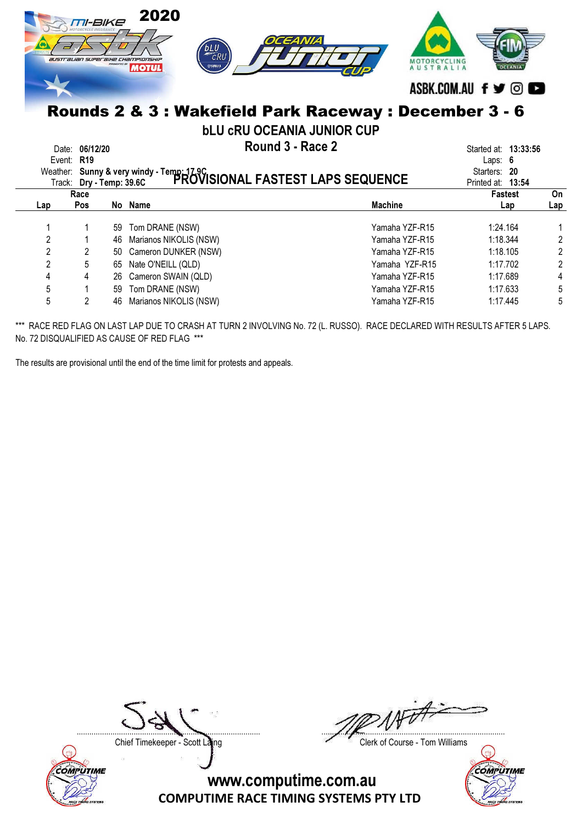|                  | TI-BIKE<br>australian superaike championskip |    | 2020<br>OCEANIA<br>bLU<br>$\overline{c}$ RU<br>⊕удмана<br><b>MOTUL</b>                                  | <b>AUSTRALIA</b> | ASBK.COM.AU f y © C               |                |
|------------------|----------------------------------------------|----|---------------------------------------------------------------------------------------------------------|------------------|-----------------------------------|----------------|
|                  |                                              |    | Rounds 2 & 3 : Wakefield Park Raceway : December 3 - 6                                                  |                  |                                   |                |
|                  |                                              |    | <b>bLU CRU OCEANIA JUNIOR CUP</b>                                                                       |                  |                                   |                |
| Date:<br>Event:  | 06/12/20<br>R <sub>19</sub>                  |    | Round 3 - Race 2                                                                                        |                  | Started at: 13:33:56<br>Laps: $6$ |                |
|                  |                                              |    | Weather: Sunny & very windy - Temp: 17.9C<br>Track: Day - Temp: 39.6C PROVISIONAL FASTEST LAPS SEQUENCE |                  | Starters: 20<br>Printed at: 13:54 |                |
|                  | Race                                         |    |                                                                                                         |                  | <b>Fastest</b>                    | On             |
| Lap              | Pos                                          |    | No Name                                                                                                 | <b>Machine</b>   | Lap                               | Lap            |
|                  |                                              | 59 | Tom DRANE (NSW)                                                                                         | Yamaha YZF-R15   | 1:24.164                          |                |
| $\boldsymbol{2}$ |                                              | 46 | Marianos NIKOLIS (NSW)                                                                                  | Yamaha YZF-R15   | 1:18.344                          | $\overline{2}$ |
| $\overline{2}$   | 2                                            | 50 | Cameron DUNKER (NSW)                                                                                    | Yamaha YZF-R15   | 1:18.105                          | $\overline{2}$ |
| $\overline{2}$   | 5                                            | 65 | Nate O'NEILL (QLD)                                                                                      | Yamaha YZF-R15   | 1:17.702                          | $\overline{2}$ |
| 4                |                                              | 26 | Cameron SWAIN (QLD)                                                                                     | Yamaha YZF-R15   | 1:17.689                          | 4              |
| 5                |                                              | 59 | Tom DRANE (NSW)                                                                                         | Yamaha YZF-R15   | 1:17.633                          | 5              |
| 5                | 2                                            | 46 | Marianos NIKOLIS (NSW)                                                                                  | Yamaha YZF-R15   | 1:17.445                          | 5              |

\*\*\* RACE RED FLAG ON LAST LAP DUE TO CRASH AT TURN 2 INVOLVING No. 72 (L. RUSSO). RACE DECLARED WITH RESULTS AFTER 5 LAPS. No. 72 DISQUALIFIED AS CAUSE OF RED FLAG \*\*\*

The results are provisional until the end of the time limit for protests and appeals.



....................................................................................... .......................................................................................

Chief Timekeeper - Scott Laing Chief Timekeeper - Scott Laing

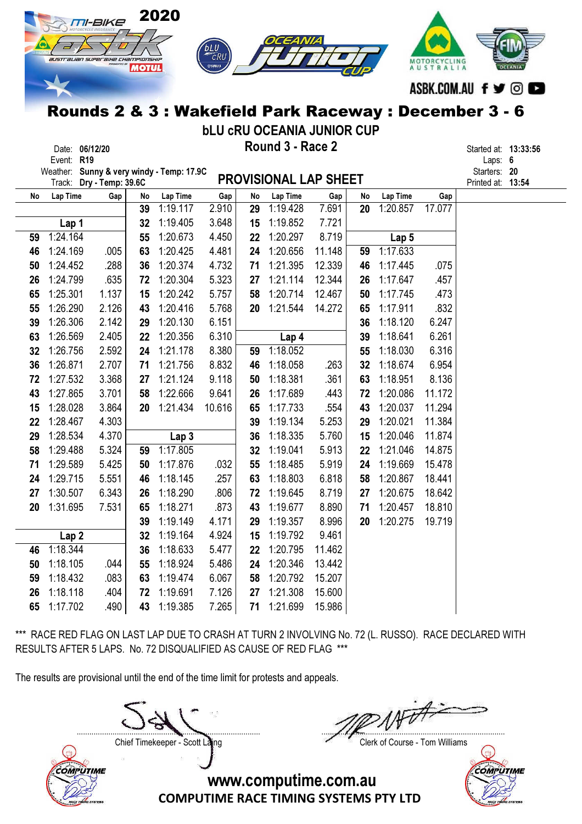

bLU cRU OCEANIA JUNIOR CUP

| Date:      | 06/12/20 | Round 3 - Race 2 | Started at: |    |
|------------|----------|------------------|-------------|----|
| Event: R19 |          |                  | Laps:       | -6 |

Date: 06/12/20 **Example 2 Round 3 - Race 2 Started at: 13:33:56** Started at: 13:33:56

Weather: Sunny & very windy - Temp: 17.9C  $\overline{\phantom{a}}$   $\overline{\phantom{a}}$   $\overline{\phantom{a}}$   $\overline{\phantom{a}}$   $\overline{\phantom{a}}$   $\overline{\phantom{a}}$   $\overline{\phantom{a}}$   $\overline{\phantom{a}}$   $\overline{\phantom{a}}$   $\overline{\phantom{a}}$   $\overline{\phantom{a}}$   $\overline{\phantom{a}}$   $\overline{\phantom{a}}$   $\overline{\phantom{a}}$   $\overline{\phantom{a}}$ 

|    | weather: Sunny & very windy - remp: 17.90<br>Track: Dry - Temp: 39.6C |       |    |                  |        |    | <b>PROVISIONAL LAP SHEET</b> |        |    |          |        | Starters: <b>20</b><br>Printed at: 13:54 |  |
|----|-----------------------------------------------------------------------|-------|----|------------------|--------|----|------------------------------|--------|----|----------|--------|------------------------------------------|--|
| No | Lap Time                                                              | Gap   | No | Lap Time         | Gap    | No | Lap Time                     | Gap    | No | Lap Time | Gap    |                                          |  |
|    |                                                                       |       | 39 | 1:19.117         | 2.910  | 29 | 1:19.428                     | 7.691  | 20 | 1:20.857 | 17.077 |                                          |  |
|    | Lap 1                                                                 |       | 32 | 1:19.405         | 3.648  | 15 | 1:19.852                     | 7.721  |    |          |        |                                          |  |
| 59 | 1:24.164                                                              |       | 55 | 1:20.673         | 4.450  | 22 | 1:20.297                     | 8.719  |    | Lap 5    |        |                                          |  |
| 46 | 1:24.169                                                              | .005  | 63 | 1:20.425         | 4.481  | 24 | 1:20.656                     | 11.148 | 59 | 1:17.633 |        |                                          |  |
| 50 | 1:24.452                                                              | .288  | 36 | 1:20.374         | 4.732  | 71 | 1:21.395                     | 12.339 | 46 | 1:17.445 | .075   |                                          |  |
| 26 | 1:24.799                                                              | .635  | 72 | 1:20.304         | 5.323  | 27 | 1:21.114                     | 12.344 | 26 | 1:17.647 | .457   |                                          |  |
| 65 | 1:25.301                                                              | 1.137 | 15 | 1:20.242         | 5.757  | 58 | 1:20.714                     | 12.467 | 50 | 1:17.745 | .473   |                                          |  |
| 55 | 1:26.290                                                              | 2.126 | 43 | 1:20.416         | 5.768  | 20 | 1:21.544                     | 14.272 | 65 | 1:17.911 | .832   |                                          |  |
| 39 | 1:26.306                                                              | 2.142 | 29 | 1:20.130         | 6.151  |    |                              |        | 36 | 1:18.120 | 6.247  |                                          |  |
| 63 | 1:26.569                                                              | 2.405 | 22 | 1:20.356         | 6.310  |    | Lap <sub>4</sub>             |        | 39 | 1:18.641 | 6.261  |                                          |  |
| 32 | 1:26.756                                                              | 2.592 | 24 | 1:21.178         | 8.380  | 59 | 1:18.052                     |        | 55 | 1:18.030 | 6.316  |                                          |  |
| 36 | 1:26.871                                                              | 2.707 | 71 | 1:21.756         | 8.832  | 46 | 1:18.058                     | .263   | 32 | 1:18.674 | 6.954  |                                          |  |
| 72 | 1:27.532                                                              | 3.368 | 27 | 1:21.124         | 9.118  | 50 | 1:18.381                     | .361   | 63 | 1:18.951 | 8.136  |                                          |  |
| 43 | 1:27.865                                                              | 3.701 | 58 | 1:22.666         | 9.641  | 26 | 1:17.689                     | .443   | 72 | 1:20.086 | 11.172 |                                          |  |
| 15 | 1:28.028                                                              | 3.864 | 20 | 1:21.434         | 10.616 | 65 | 1:17.733                     | .554   | 43 | 1:20.037 | 11.294 |                                          |  |
| 22 | 1:28.467                                                              | 4.303 |    |                  |        | 39 | 1:19.134                     | 5.253  | 29 | 1:20.021 | 11.384 |                                          |  |
| 29 | 1:28.534                                                              | 4.370 |    | Lap <sub>3</sub> |        | 36 | 1:18.335                     | 5.760  | 15 | 1:20.046 | 11.874 |                                          |  |
| 58 | 1:29.488                                                              | 5.324 | 59 | 1:17.805         |        | 32 | 1:19.041                     | 5.913  | 22 | 1:21.046 | 14.875 |                                          |  |
| 71 | 1:29.589                                                              | 5.425 | 50 | 1:17.876         | .032   | 55 | 1:18.485                     | 5.919  | 24 | 1:19.669 | 15.478 |                                          |  |
| 24 | 1:29.715                                                              | 5.551 | 46 | 1:18.145         | .257   | 63 | 1:18.803                     | 6.818  | 58 | 1:20.867 | 18.441 |                                          |  |
| 27 | 1:30.507                                                              | 6.343 | 26 | 1:18.290         | .806   | 72 | 1:19.645                     | 8.719  | 27 | 1:20.675 | 18.642 |                                          |  |
| 20 | 1:31.695                                                              | 7.531 | 65 | 1:18.271         | .873   | 43 | 1:19.677                     | 8.890  | 71 | 1:20.457 | 18.810 |                                          |  |
|    |                                                                       |       | 39 | 1:19.149         | 4.171  | 29 | 1:19.357                     | 8.996  | 20 | 1:20.275 | 19.719 |                                          |  |
|    | Lap <sub>2</sub>                                                      |       | 32 | 1:19.164         | 4.924  | 15 | 1:19.792                     | 9.461  |    |          |        |                                          |  |
| 46 | 1:18.344                                                              |       | 36 | 1:18.633         | 5.477  | 22 | 1:20.795                     | 11.462 |    |          |        |                                          |  |
| 50 | 1:18.105                                                              | .044  | 55 | 1:18.924         | 5.486  | 24 | 1:20.346                     | 13.442 |    |          |        |                                          |  |
| 59 | 1:18.432                                                              | .083  | 63 | 1:19.474         | 6.067  | 58 | 1:20.792                     | 15.207 |    |          |        |                                          |  |
| 26 | 1:18.118                                                              | .404  | 72 | 1:19.691         | 7.126  | 27 | 1:21.308                     | 15.600 |    |          |        |                                          |  |
| 65 | 1:17.702                                                              | .490  | 43 | 1:19.385         | 7.265  | 71 | 1:21.699                     | 15.986 |    |          |        |                                          |  |

\*\*\* RACE RED FLAG ON LAST LAP DUE TO CRASH AT TURN 2 INVOLVING No. 72 (L. RUSSO). RACE DECLARED WITH RESULTS AFTER 5 LAPS. No. 72 DISQUALIFIED AS CAUSE OF RED FLAG \*\*\*

The results are provisional until the end of the time limit for protests and appeals.

....................................................................................... .......................................................................................



Chief Timekeeper - Scott Laing Chief Timekeeper - Scott Laing

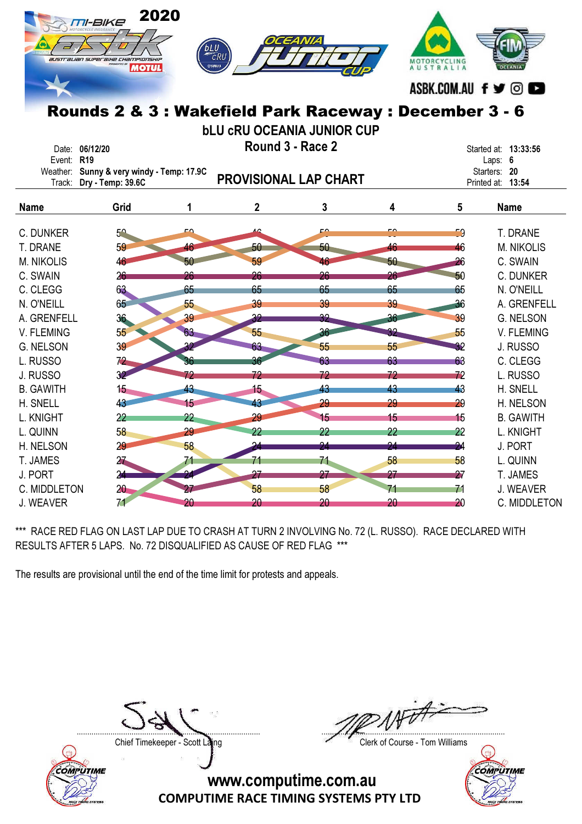|                              | TI-BIKE<br>australian superaixe championsxip<br><b>MOTUL</b> | 2020<br><b>bLU</b> |                  | EANIA<br>Rounds 2 & 3 : Wakefield Park Raceway : December 3 - 6 |                 | AUSTRALIA       | ASBK.COM.AU f y ©               |
|------------------------------|--------------------------------------------------------------|--------------------|------------------|-----------------------------------------------------------------|-----------------|-----------------|---------------------------------|
|                              |                                                              |                    |                  | <b>bLU CRU OCEANIA JUNIOR CUP</b>                               |                 |                 |                                 |
| Date: 06/12/20<br>Event: R19 |                                                              |                    | Round 3 - Race 2 |                                                                 |                 |                 | Started at: 13:33:56<br>Laps: 6 |
|                              | Weather: Sunny & very windy - Temp: 17.9C                    |                    |                  |                                                                 |                 |                 | Starters: 20                    |
| Track:                       | Dry - Temp: 39.6C                                            |                    |                  | <b>PROVISIONAL LAP CHART</b>                                    |                 |                 | Printed at: 13:54               |
| <b>Name</b>                  | Grid                                                         | 1                  | $\mathbf 2$      | 3                                                               | 4               | $5\phantom{.0}$ | <b>Name</b>                     |
| C. DUNKER                    | $5^{\circ}$                                                  | DΩ,                | ົ                | F۵                                                              | <u>۔ م</u>      | 59              | T. DRANE                        |
| T. DRANE                     | 59                                                           | 46                 | 50               | 50                                                              | 46              | 46              | <b>M. NIKOLIS</b>               |
| <b>M. NIKOLIS</b>            | 46                                                           | 50                 | 59               | 46                                                              | $50 -$          | 26              | C. SWAIN                        |
| C. SWAIN                     | 26                                                           | 26                 | 26               | 26                                                              | 26              | 50              | C. DUNKER                       |
| C. CLEGG                     | 63                                                           | 65                 | 65               | 65                                                              | 65              | 65              | N. O'NEILL                      |
| N. O'NEILL                   | 65                                                           | 55                 | 39               | 39                                                              | 39              | 36              | A. GRENFELL                     |
| A. GRENFELL                  | 36                                                           | 39                 | 32 <sub>2</sub>  | 32                                                              |                 | 39              | <b>G. NELSON</b>                |
| V. FLEMING                   | 55 <sub>5</sub>                                              | 63                 | 55               | 36                                                              |                 | 55              | V. FLEMING                      |
| <b>G. NELSON</b>             | 39                                                           |                    | 63               | 55                                                              | 55              | 32              | J. RUSSO                        |
| L. RUSSO                     | 72                                                           |                    | 36               | 63                                                              | 63              | 63              | C. CLEGG                        |
| J. RUSSO                     | 32 <sup>°</sup>                                              | 72                 | 72               | 72                                                              | 72              | 72              | L. RUSSO                        |
| <b>B. GAWITH</b>             | 15 <sub>1</sub>                                              | 43                 | 15 <sub>1</sub>  | 43                                                              | 43              | 43              | H. SNELL                        |
| H. SNELL                     | 43                                                           | 15                 | 43               | 29                                                              | 29              | 29              | H. NELSON                       |
| L. KNIGHT                    | $22 \overline{)}$                                            | 22 <sub>2</sub>    | 29               | 15                                                              | 15 <sub>1</sub> | 15              | <b>B. GAWITH</b>                |
| L. QUINN                     | 58                                                           | 29                 | 22               | $22 \overline{)}$                                               | 22              | 22              | L. KNIGHT                       |
| H. NELSON                    | 29                                                           | 58                 | 24               | 94                                                              | 94              | 24              | J. PORT                         |
| T. JAMES                     | 27                                                           | 71                 | 71               | 71                                                              | 58              | 58              | L. QUINN                        |
| J. PORT                      | 24                                                           |                    | 27               | 27                                                              | 27              | 27              | T. JAMES                        |
| C. MIDDLETON                 | 20 <sub>2</sub>                                              |                    | 58               | 58                                                              |                 | 71              | J. WEAVER                       |
| J. WEAVER                    | 71                                                           | 20                 | 20               | 20                                                              | 20              | 20              | C. MIDDLETON                    |

\*\*\* RACE RED FLAG ON LAST LAP DUE TO CRASH AT TURN 2 INVOLVING No. 72 (L. RUSSO). RACE DECLARED WITH RESULTS AFTER 5 LAPS. No. 72 DISQUALIFIED AS CAUSE OF RED FLAG \*\*\*

The results are provisional until the end of the time limit for protests and appeals.



....................................................................................... .......................................................................................

Chief Timekeeper - Scott Laing Chief Timekeeper - Scott Laing

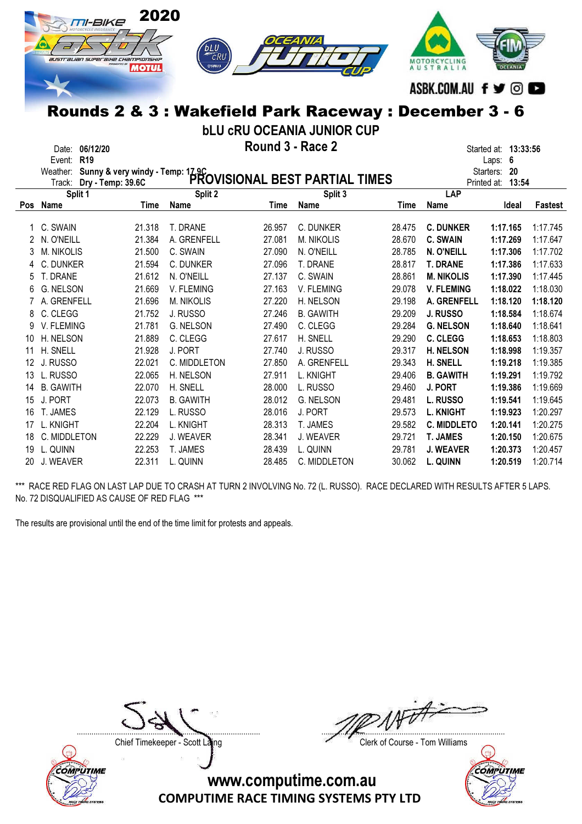

bLU cRU OCEANIA JUNIOR CUP

Date: 06/12/20 **Example 2 Round 3 - Race 2 Started at: 13:33:56** Started at: 13:33:56

| Date:      | <b>UDI14120</b> | A JAVUIIU J - INGUG 4 | Started at: 13 |     |  |
|------------|-----------------|-----------------------|----------------|-----|--|
| Event: R19 |                 |                       | ∟aps:          | - 6 |  |

|            | Weather:          | Sunny & very windy - Temp: 17.9C<br>Dry - Temp: 39 6C PROVISIONAL BEST PARTIAL TIMES |                   |        |                   |        |                    | Starters:<br>20 |          |
|------------|-------------------|--------------------------------------------------------------------------------------|-------------------|--------|-------------------|--------|--------------------|-----------------|----------|
|            | Track:            |                                                                                      |                   |        |                   |        | Printed at:        | 13:54           |          |
|            | Split 1           |                                                                                      | Split 2           |        | Split 3           |        | LAP                |                 |          |
| <b>Pos</b> | Name              | Time                                                                                 | Name              | Time   | Name              | Time   | Name               | Ideal           | Fastest  |
|            |                   |                                                                                      |                   |        |                   |        |                    |                 |          |
|            | C. SWAIN          | 21.318                                                                               | T. DRANE          | 26.957 | C. DUNKER         | 28.475 | <b>C. DUNKER</b>   | 1:17.165        | 1:17.745 |
|            | N. O'NEILL        | 21.384                                                                               | A. GRENFELL       | 27.081 | <b>M. NIKOLIS</b> | 28.670 | <b>C. SWAIN</b>    | 1:17.269        | 1:17.647 |
| 3          | <b>M. NIKOLIS</b> | 21.500                                                                               | C. SWAIN          | 27.090 | N. O'NEILL        | 28.785 | N. O'NEILL         | 1:17.306        | 1:17.702 |
| 4          | C. DUNKER         | 21.594                                                                               | C. DUNKER         | 27.096 | T. DRANE          | 28.817 | <b>T. DRANE</b>    | 1:17.386        | 1:17.633 |
| 5          | T. DRANE          | 21.612                                                                               | N. O'NEILL        | 27.137 | C. SWAIN          | 28.861 | <b>M. NIKOLIS</b>  | 1:17.390        | 1:17.445 |
| 6          | G. NELSON         | 21.669                                                                               | V. FLEMING        | 27.163 | V. FLEMING        | 29.078 | <b>V. FLEMING</b>  | 1:18.022        | 1:18.030 |
|            | A. GRENFELL       | 21.696                                                                               | <b>M. NIKOLIS</b> | 27.220 | H. NELSON         | 29.198 | A. GRENFELL        | 1:18.120        | 1:18.120 |
| 8          | C. CLEGG          | 21.752                                                                               | J. RUSSO          | 27.246 | <b>B. GAWITH</b>  | 29.209 | J. RUSSO           | 1:18.584        | 1:18.674 |
| 9          | V. FLEMING        | 21.781                                                                               | <b>G. NELSON</b>  | 27.490 | C. CLEGG          | 29.284 | <b>G. NELSON</b>   | 1:18.640        | 1:18.641 |
| 10         | H. NELSON         | 21.889                                                                               | C. CLEGG          | 27.617 | H. SNELL          | 29.290 | C. CLEGG           | 1:18.653        | 1:18.803 |
| 11         | H. SNELL          | 21.928                                                                               | J. PORT           | 27.740 | J. RUSSO          | 29.317 | <b>H. NELSON</b>   | 1:18.998        | 1:19.357 |
| 12         | J. RUSSO          | 22.021                                                                               | C. MIDDLETON      | 27.850 | A. GRENFELL       | 29.343 | H. SNELL           | 1:19.218        | 1:19.385 |
| 13         | L. RUSSO          | 22.065                                                                               | H. NELSON         | 27.911 | L. KNIGHT         | 29.406 | <b>B. GAWITH</b>   | 1:19.291        | 1:19.792 |
| 14         | <b>B. GAWITH</b>  | 22.070                                                                               | H. SNELL          | 28.000 | L. RUSSO          | 29.460 | J. PORT            | 1:19.386        | 1:19.669 |
| 15         | J. PORT           | 22.073                                                                               | <b>B. GAWITH</b>  | 28.012 | G. NELSON         | 29.481 | <b>L. RUSSO</b>    | 1:19.541        | 1:19.645 |
| 16         | T. JAMES          | 22.129                                                                               | L. RUSSO          | 28.016 | J. PORT           | 29.573 | <b>L. KNIGHT</b>   | 1:19.923        | 1:20.297 |
| 17         | L. KNIGHT         | 22.204                                                                               | L. KNIGHT         | 28.313 | T. JAMES          | 29.582 | <b>C. MIDDLETO</b> | 1:20.141        | 1:20.275 |
| 18         | C. MIDDLETON      | 22.229                                                                               | J. WEAVER         | 28.341 | J. WEAVER         | 29.721 | <b>T. JAMES</b>    | 1:20.150        | 1:20.675 |
| 19         | L. QUINN          | 22.253                                                                               | T. JAMES          | 28.439 | L. QUINN          | 29.781 | <b>J. WEAVER</b>   | 1:20.373        | 1:20.457 |
| 20         | J. WEAVER         | 22.311                                                                               | l. Quinn          | 28.485 | C. MIDDLETON      | 30.062 | L. QUINN           | 1:20.519        | 1:20.714 |

\*\*\* RACE RED FLAG ON LAST LAP DUE TO CRASH AT TURN 2 INVOLVING No. 72 (L. RUSSO). RACE DECLARED WITH RESULTS AFTER 5 LAPS. No. 72 DISQUALIFIED AS CAUSE OF RED FLAG \*\*\*

The results are provisional until the end of the time limit for protests and appeals.



....................................................................................... .......................................................................................

Chief Timekeeper - Scott Laing Chief Timekeeper - Scott Laing

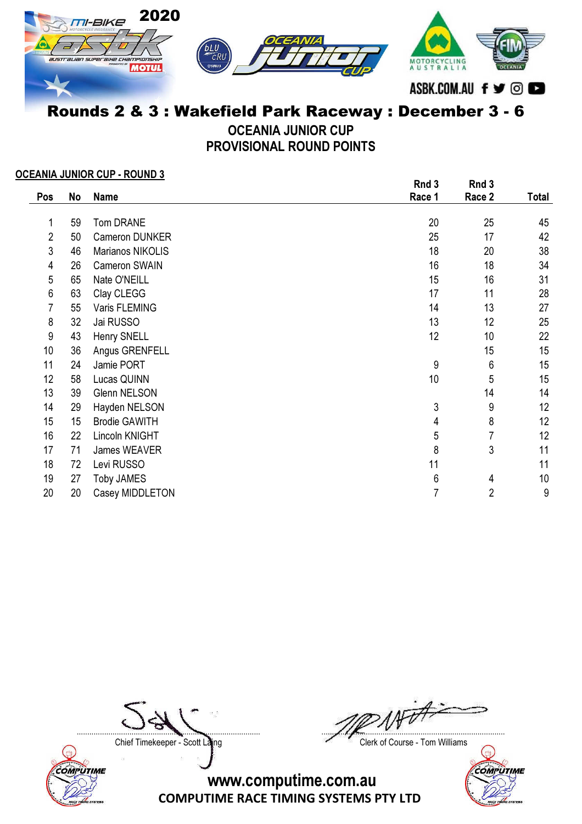

OCEANIA JUNIOR CUP PROVISIONAL ROUND POINTS

#### OCEANIA JUNIOR CUP - ROUND 3

|     |    | -<br>.               | Rnd 3  | Rnd 3          |       |
|-----|----|----------------------|--------|----------------|-------|
| Pos | No | <b>Name</b>          | Race 1 | Race 2         | Total |
|     |    |                      |        |                |       |
| 1   | 59 | Tom DRANE            | 20     | 25             | 45    |
| 2   | 50 | Cameron DUNKER       | 25     | 17             | 42    |
| 3   | 46 | Marianos NIKOLIS     | 18     | 20             | 38    |
| 4   | 26 | Cameron SWAIN        | 16     | 18             | 34    |
| 5   | 65 | Nate O'NEILL         | 15     | 16             | 31    |
| 6   | 63 | Clay CLEGG           | 17     | 11             | 28    |
| 7   | 55 | Varis FLEMING        | 14     | 13             | 27    |
| 8   | 32 | Jai RUSSO            | 13     | 12             | 25    |
| 9   | 43 | Henry SNELL          | 12     | 10             | 22    |
| 10  | 36 | Angus GRENFELL       |        | 15             | 15    |
| 11  | 24 | Jamie PORT           | 9      | 6              | 15    |
| 12  | 58 | Lucas QUINN          | 10     | 5              | 15    |
| 13  | 39 | <b>Glenn NELSON</b>  |        | 14             | 14    |
| 14  | 29 | Hayden NELSON        | 3      | 9              | 12    |
| 15  | 15 | <b>Brodie GAWITH</b> | 4      | 8              | 12    |
| 16  | 22 | Lincoln KNIGHT       | 5      | 7              | 12    |
| 17  | 71 | James WEAVER         | 8      | 3              | 11    |
| 18  | 72 | Levi RUSSO           | 11     |                | 11    |
| 19  | 27 | <b>Toby JAMES</b>    | 6      | 4              | 10    |
| 20  | 20 | Casey MIDDLETON      | 7      | $\overline{2}$ | 9     |



....................................................................................... .......................................................................................

Chief Timekeeper - Scott Laing Chief Timekeeper - Scott Laing

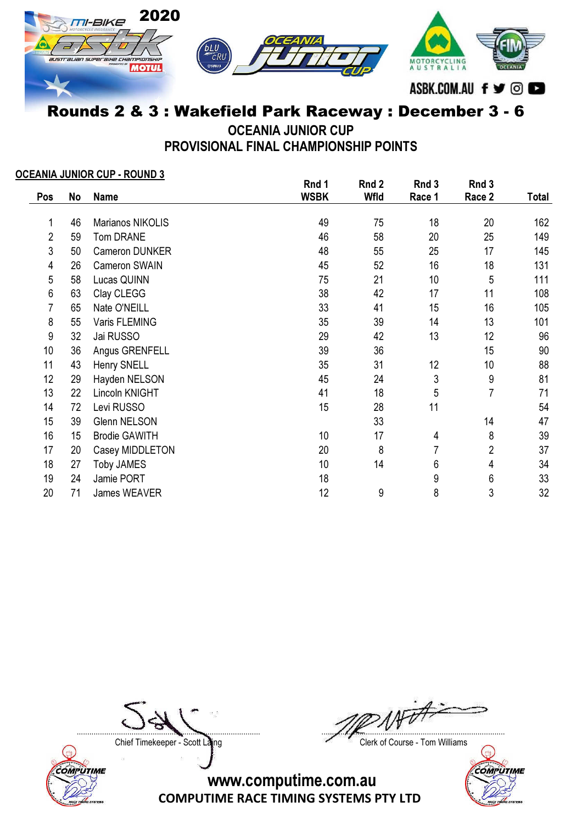

OCEANIA JUNIOR CUP

PROVISIONAL FINAL CHAMPIONSHIP POINTS

#### OCEANIA JUNIOR CUP - ROUND 3

|                |    |                      | Rnd 1       | Rnd 2 | Rnd 3            | Rnd 3          |       |
|----------------|----|----------------------|-------------|-------|------------------|----------------|-------|
| Pos            | No | <b>Name</b>          | <b>WSBK</b> | Wfld  | Race 1           | Race 2         | Total |
|                | 46 | Marianos NIKOLIS     | 49          | 75    | 18               | 20             | 162   |
| $\overline{2}$ | 59 | Tom DRANE            | 46          | 58    | 20               | 25             | 149   |
| 3              | 50 | Cameron DUNKER       | 48          | 55    | 25               | 17             | 145   |
| 4              | 26 | Cameron SWAIN        | 45          | 52    | 16               | 18             | 131   |
| 5              | 58 | Lucas QUINN          | 75          | 21    | 10               | $\sqrt{5}$     | 111   |
| 6              | 63 | Clay CLEGG           | 38          | 42    | 17               | 11             | 108   |
| $\overline{7}$ | 65 | Nate O'NEILL         | 33          | 41    | 15               | 16             | 105   |
| 8              | 55 | Varis FLEMING        | 35          | 39    | 14               | 13             | 101   |
| 9              | 32 | Jai RUSSO            | 29          | 42    | 13               | 12             | 96    |
| 10             | 36 | Angus GRENFELL       | 39          | 36    |                  | 15             | 90    |
| 11             | 43 | Henry SNELL          | 35          | 31    | 12               | 10             | 88    |
| 12             | 29 | Hayden NELSON        | 45          | 24    | $\mathfrak{Z}$   | 9              | 81    |
| 13             | 22 | Lincoln KNIGHT       | 41          | 18    | 5                | 7              | 71    |
| 14             | 72 | Levi RUSSO           | 15          | 28    | 11               |                | 54    |
| 15             | 39 | <b>Glenn NELSON</b>  |             | 33    |                  | 14             | 47    |
| 16             | 15 | <b>Brodie GAWITH</b> | 10          | 17    | 4                | 8              | 39    |
| 17             | 20 | Casey MIDDLETON      | 20          | 8     | 7                | $\overline{2}$ | 37    |
| 18             | 27 | <b>Toby JAMES</b>    | 10          | 14    | $\boldsymbol{6}$ | 4              | 34    |
| 19             | 24 | Jamie PORT           | 18          |       | 9                | 6              | 33    |
| 20             | 71 | James WEAVER         | 12          | 9     | 8                | 3              | 32    |



....................................................................................... .......................................................................................

Chief Timekeeper - Scott Laing Chief Timekeeper - Scott Laing